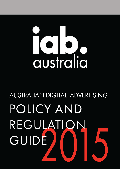# australia

# **AUSTRALIAN DIGITAL ADVERTISING** POLICY AND REGULATION GUIDE

**Australian Digital Advertising Policy & Regulation Guide 2015 Page 1 of 7**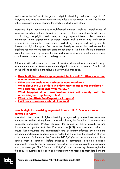Welcome to the IAB Austral[i](#page-4-1)a guide to digital advertising policy and regulations<sup>i</sup>. Everything you need to know about existing rules and regulations, as well as the key policy issues and debates shaping the market, and all in one place.

Interactive digital advertising is a multifaceted practice involving several areas of expertise including but not limited to: content creation, technology build, media broadcasting, copyright development, making representations, collect personal information, data aggregation delivered across multi-platform and multi-device communication channels. These practices collectively complex and portray a multidimensional digital life cycle. Because of the diversity of conduct involved we see that legal and regulatory considerations arise at each stage of the digital life cycle, therefore more than one arm of government is involved in overseeing our industry which is also complimented, where possible by self-regulation.

Below you will find answers to a range of questions designed to help you get to grips with what you need to know about current digital advertising regulations. Simply click on the links to be taken to the relevant answer within this page.

- **[How is digital advertising regulated in Australia? Give me a one](#page-1-0)[minute overview.](#page-1-0)**
- **[What are the basic rules businesses need to follow?](#page-2-0)**
- **[What about the use of data in online marketing? Is this regulated?](#page-2-0)**
- **[Who enforces compliance with the law?](#page-3-0)**
- **[What happens if an organization](#page-4-0) does not comply with the [advertising self-regulatory rules?](#page-4-0)**
- **[What is the ADAA Self-Regulatory Program?](#page-6-0)**
- **[I still have questions –](#page-6-1) who do I contact?**

# <span id="page-1-0"></span>**How is digital advertising regulated in Australia? Give me a oneminute overview.**

In Australia, the conduct of digital advertising is regulated by federal laws, some state agencies, as well as self-regulation. At a federal level, the Australian Competition and Consumer Commission (ACCC) regulates the content of digital advertising and disclosures through the Australian Consumer Law (ACL), which requires business to ensure that consumers are appropriately and accurately informed by prohibiting misleading or deceptive conduct, false or misleading claims and the imposition of unfair contract terms. Furthermore, the Spam Act 2003 (Cth) mandates that you must obtain consent from a consumer before initiating a commercial electronic message, appropriately identify your business and ensure that the consumer is able to unsubscribe from your messages. The Privacy Act 1988 (Cth) is also another key piece of legislation that requires business to be open and transparent with respect to their data handling

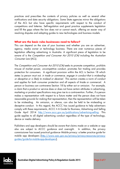practices and prescribes the contents of privacy policies as well as several other notifications and data security obligations. Some State agencies mirror the obligations of the ACL but also have specific requirements with respect to the conduct of competitions and lotteries. Self-regulation and good practice supplements legislation and fill the gaps where the law does not or cannot reach, offering an easier way of resolving disputes and adapting guides to new technologies and business models.

### <span id="page-2-0"></span>**What are the basic rules businesses need to follow?**

This can depend on the size of your business and whether you are an advertiser, agency, media owner or technology business. There are over numerous pieces of legislation affecting advertising in Australia. A significant piece of legislation to be aware of is the Competition and Consumer Act 2010 (Cth) including the Australian Consumer Law (ACL).

The Competition and Consumer Act 2010 (Cth) seeks to promote competition, prohibits misuse of market power, uncompetitive conduct, promotes fair trading and provides protection for consumers. A significant provision within the ACL is Section 18 which states ia person must not, in trade or commerce, engage in conduct that is misleading or deceptive or is likely to mislead or deceivei. This section creates a norm of conduct and applies for both consumer protection and all aspects of itrade or commercei. A person or business can contravene Section 18 by either act or omission. For example, a claim that a product or service does or does not have certain attributes in advertising, marketing or product specifications may give rise to a contravention. Further, if a person makes a representation with respect to a future matter and the person does not have reasonable grounds for making that representation, then the representation will be taken to be misleading. An omission, or silence, can also be held to be misleading or deceptive conduct. In this regard, the ACCC has issued guidance to help advertisers comply with these requirements, ACCC  $\tilde{n}$  A Guide for Business, Advertising and Selling Guide April 2014 [http://www.accc.gov.au/publications/advertising-selling.](http://www.accc.gov.au/publications/advertising-selling) This guide applies to all digital advertising conduct regardless of the type of technology, device or media delivery.

Publishers and app developers should be aware that claims made on a website or app also are subject to ACCC guidance and oversight. In addition, the privacy commissioner has issued practical guidance- Mobile privacy: a better practice guide for mobile app developers [\[http://www.oaic.gov.au/privacy/privacy-resources/privacy](http://www.oaic.gov.au/privacy/privacy-resources/privacy-guides/guide-for-mobile-app-developers)[guides/guide-for-mobile-app-developers\]](http://www.oaic.gov.au/privacy/privacy-resources/privacy-guides/guide-for-mobile-app-developers).

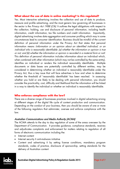### **What about the use of data in online marketing? Is this regulated?**

Yes. Most interactive advertising involves the collection and use of data to produce, measure and profile advertising, and the most generic law governing all businesses in the sector is the *Privacy Act 1988 (Cth)*. It outlines the legal obligations with respect to the collection, holding, use and disclosure of personal information, including health information, credit information, tax file numbers and credit information. Importantly, digital advertising involves data aggregation and consumer profiling which may in some circumstances lead to consumer identification. Business should be mindful of the current definition of personal information under the Privacy Act that states that personal information means *iinformation or an opinion about an identified individual, or an* individual who is reasonably identifiable: (a) whether the information or opinion is true or not; and (b) whether the information or opinion is recorded in a material form or notî. This definition of personal information includes information about an individual which, when combined with other information (which may not be controlled by the same entity), identifies an individual or renders the individual reasonably identifiable. Multiple documents or data bases are potentially controlled by different entities, may be considered in determining whether an individual is reasonably identifiable under the Privacy Act, thus a key issue that will face advertises is how and when to determine whether the threshold of 'reasonably identifiable' has been reached. In assessing whether you hold or are likely to be dealing with personal information, you should consider the practicality, cost, difficulty and likelihood that the information will be linked in a way to identify the individual or whether an individual is reasonably identifiable.

### **Who enforces compliance with the law?**

<span id="page-3-0"></span>There are a diverse range of businesses practices involved in digital advertising arising at different stages of the digital life cycle of content production and communication. Depending on the conduct of your business, then you should be aware of one or more of the following regulators that administer, oversee and enforce compliance with the law.

### Australian Communications and Media Authority (ACMA)

The ACMA attends to the day to day regulation of some of the areas overseen by the Department of Communication. It provides guidance, compliance standards, receives and adjudicates complaints and enforcement for matters relating to regulation of all forms of electronic communication including the:

- Internet content
- Internet security ñ anti-malware initiative
- Content and advertising  $\tilde{n}$  by setting license conditions, mandatory program standards, codes of practice, disclosure of sponsorship, setting standards for the delivery of Australian content

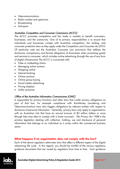- Telecommunications
- Radio content and spectrums
- Broadcasting
- Anti-spam

## Australian Competition and Consumer Commission (ACCC)

The ACCC promotes competition and fair trade in markets to benefit consumers, businesses, and the community. One of its primary responsibilities is to ensure that individuals and businesses comply with Australian competition, fair trading, and consumer protection laws as they apply under the Competition and Consumer Act 2010. Of particular note are the Australian Consumer Law provisions that address the disclosure, transparency and factual obligations of businesses when promoting goods and services to consumer, which includes online advertising through the use of any form of digital infrastructure The ACCC is concerned with:

- False or misleading claims
- Managing online reviews
- Shopping online
- Internet banking
- Online auctions
- Online group buying
- Social media advertising
- Pricing displays
- Unfair practices

### Office of the Australian Information Commissioner (OAIC)

<span id="page-4-1"></span>Is responsible for privacy functions and other laws that confer privacy obligations as part of that law, for example compliance with Anti-Money Laundering and Telecommunications laws also triggers obligations by relevant entities with respect to disclosure of personal information. Generally, privacy laws only apply to organisations with an Australian Link that have an annual turnover of \$3 million dollars or more (though they may elect to comply with a lower turnover). The Privacy Act 1988 is the primary legislation dealing with collection, holding, use and disclosure of personal information that belongs to an individual as it arises within the commercial business sector.

### <span id="page-4-0"></span>**What happens if an organization does not comply with the law?**

Each of the above regulators administer laws that affect a different aspect of the digital advertising life cycle. In this regard, you should be mindful of the various regulatory guidance documents that are issued by regulators from time to time. Such guidance

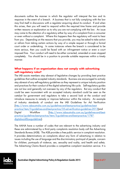documents outline the manner in which the regulator will interpret the law and its response in the event of a breach. A business that is not fully complying with the law may find itself in discussions with a regulator enquiring about its conduct. If and when this arises, then you will need to respond within the required time frame and provide written reasons or explanation as to why you are not complying with the law. An issue may come to the attention of a regulatory either by way of a complaint from a consumer or even without a complaint. Where this happens then the regulatory will want to hear from you. Depending on the reasons that you provide, you may be asked to take action or refrain from taking certain actions by way of a simple request or through a formal court order or undertaking. In some instances where the breach is considered to be more serious, then you could be faced with an infringement notice or even a court imposed fine. Your conduct will need to be either corrected, amended or even stopped completely. You should be in a position to provide suitable responses within a timely manner.

# **What happens if an organisation does not comply with advertising self-regulatory rules?**

The IAB assists members stay abreast of legislative changes by providing best practice guidelines that outline accepted industry standards. Business are encouraged to actively stay abreast of any self-regulatory guidelines as they represent a unique industry position and practices for their conduct of the digital advertising life cycle. Self-regulatory guides are not law and generally not overseen by any of the regulators. But any conduct that could be seen inconsistent with an accepted industry standard could be seen as the catalyst for government and regulators to take a second look at the conduct and introduce measures to remedy or improve behaviour within the industry. An example of industry standards of conduct are the IAB Guidelines for Ad Verification [\[http://www.iabaustralia.com.au/guidelines-and-best-practice/guidelines-best](http://www.iabaustralia.com.au/guidelines-and-best-practice/guidelines-best-practice/item/3-guidelines-and-best-practice/35-ad-verification-guidelines-2013)[practice/item/3-guidelines-and-best-practice/35-ad-verification-guidelines-2013\]](http://www.iabaustralia.com.au/guidelines-and-best-practice/guidelines-best-practice/item/3-guidelines-and-best-practice/35-ad-verification-guidelines-2013)and Digital Workflow [\[http://www.iabaustralia.com.au/guidelines-and-best](http://www.iabaustralia.com.au/guidelines-and-best-practice/guidelines-best-practice/item/3-guidelines-and-best-practice/1787-digitalworkflowguidelines)[practice/guidelines-best-practice/item/3-guidelines-and-best-practice/1787](http://www.iabaustralia.com.au/guidelines-and-best-practice/guidelines-best-practice/item/3-guidelines-and-best-practice/1787-digitalworkflowguidelines) [digitalworkflowguidelines\]](http://www.iabaustralia.com.au/guidelines-and-best-practice/guidelines-best-practice/item/3-guidelines-and-best-practice/1787-digitalworkflowguidelines).

The AANA have a number of codes that are relevant to the advertising industry and these are administered by a third party complaints resolution body call the Advertising Standards Bureau (ASB). The ASB provides a free public service in complaint resolution. It provides determinations on complaints about any form of advertising in relation to issues including the use of language and the discriminatory portrayal of people, concern for children, portrayals of violence, sex, sexuality and nudity, and health and safety. The Advertising Claims Board provides a competitive complaint resolution service. It is